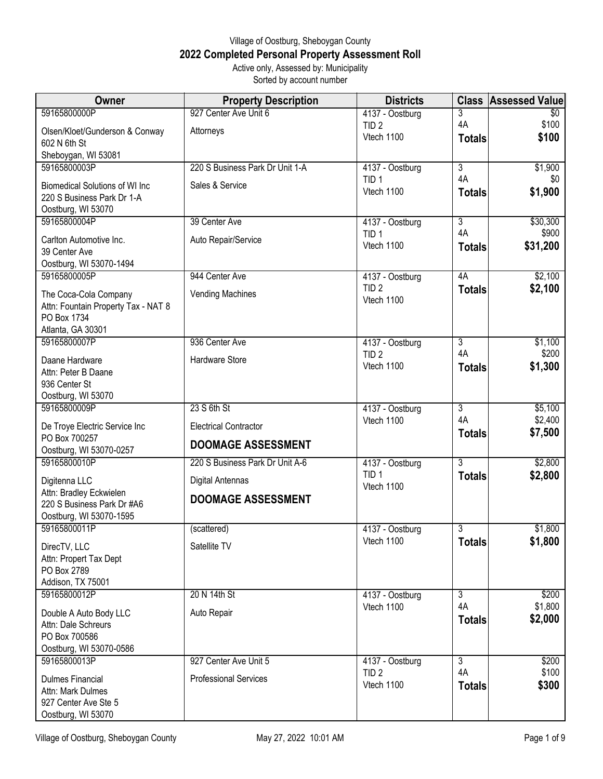## Village of Oostburg, Sheboygan County **2022 Completed Personal Property Assessment Roll** Active only, Assessed by: Municipality

Sorted by account number

| <b>Owner</b>                                                                                     | <b>Property Description</b>     | <b>Districts</b>                    | <b>Class</b>         | <b>Assessed Value</b> |
|--------------------------------------------------------------------------------------------------|---------------------------------|-------------------------------------|----------------------|-----------------------|
| 59165800000P                                                                                     | 927 Center Ave Unit 6           | 4137 - Oostburg                     | 3                    | $\overline{50}$       |
| Olsen/Kloet/Gunderson & Conway<br>602 N 6th St                                                   | Attorneys                       | TID <sub>2</sub><br>Vtech 1100      | 4A<br><b>Totals</b>  | \$100<br>\$100        |
| Sheboygan, WI 53081                                                                              |                                 |                                     |                      |                       |
| 59165800003P                                                                                     | 220 S Business Park Dr Unit 1-A | 4137 - Oostburg<br>TID <sub>1</sub> | $\overline{3}$<br>4A | \$1,900<br>\$0        |
| <b>Biomedical Solutions of WI Inc.</b><br>220 S Business Park Dr 1-A<br>Oostburg, WI 53070       | Sales & Service                 | Vtech 1100                          | <b>Totals</b>        | \$1,900               |
| 59165800004P                                                                                     | 39 Center Ave                   | 4137 - Oostburg                     | $\overline{3}$       | \$30,300              |
| Carlton Automotive Inc.<br>39 Center Ave<br>Oostburg, WI 53070-1494                              | Auto Repair/Service             | TID <sub>1</sub><br>Vtech 1100      | 4A<br><b>Totals</b>  | \$900<br>\$31,200     |
| 59165800005P                                                                                     | 944 Center Ave                  | 4137 - Oostburg                     | 4A                   | \$2,100               |
| The Coca-Cola Company<br>Attn: Fountain Property Tax - NAT 8<br>PO Box 1734<br>Atlanta, GA 30301 | <b>Vending Machines</b>         | TID <sub>2</sub><br>Vtech 1100      | <b>Totals</b>        | \$2,100               |
| 59165800007P                                                                                     | 936 Center Ave                  | 4137 - Oostburg                     | $\overline{3}$       | \$1,100               |
| Daane Hardware                                                                                   | Hardware Store                  | TID <sub>2</sub>                    | 4A                   | \$200                 |
| Attn: Peter B Daane<br>936 Center St<br>Oostburg, WI 53070                                       |                                 | Vtech 1100                          | <b>Totals</b>        | \$1,300               |
| 59165800009P                                                                                     | 23 S 6th St                     | 4137 - Oostburg                     | $\overline{3}$       | \$5,100               |
| De Troye Electric Service Inc                                                                    | <b>Electrical Contractor</b>    | Vtech 1100                          | 4A<br><b>Totals</b>  | \$2,400<br>\$7,500    |
| PO Box 700257<br>Oostburg, WI 53070-0257                                                         | <b>DOOMAGE ASSESSMENT</b>       |                                     |                      |                       |
| 59165800010P                                                                                     | 220 S Business Park Dr Unit A-6 | 4137 - Oostburg                     | $\overline{3}$       | \$2,800               |
| Digitenna LLC                                                                                    | <b>Digital Antennas</b>         | TID <sub>1</sub>                    | <b>Totals</b>        | \$2,800               |
| Attn: Bradley Eckwielen<br>220 S Business Park Dr #A6                                            | <b>DOOMAGE ASSESSMENT</b>       | Vtech 1100                          |                      |                       |
| Oostburg, WI 53070-1595<br>59165800011P                                                          | (scattered)                     | 4137 - Oostburg                     | $\overline{3}$       | \$1,800               |
|                                                                                                  |                                 | Vtech 1100                          | <b>Totals</b>        | \$1,800               |
| DirecTV, LLC<br>Attn: Propert Tax Dept<br>PO Box 2789<br>Addison, TX 75001                       | Satellite TV                    |                                     |                      |                       |
| 59165800012P                                                                                     | 20 N 14th St                    | 4137 - Oostburg                     | $\overline{3}$       | \$200                 |
| Double A Auto Body LLC<br>Attn: Dale Schreurs<br>PO Box 700586<br>Oostburg, WI 53070-0586        | Auto Repair                     | Vtech 1100                          | 4A<br><b>Totals</b>  | \$1,800<br>\$2,000    |
| 59165800013P                                                                                     | 927 Center Ave Unit 5           | 4137 - Oostburg                     | $\overline{3}$       | \$200                 |
| <b>Dulmes Financial</b><br>Attn: Mark Dulmes<br>927 Center Ave Ste 5<br>Oostburg, WI 53070       | <b>Professional Services</b>    | TID <sub>2</sub><br>Vtech 1100      | 4A<br><b>Totals</b>  | \$100<br>\$300        |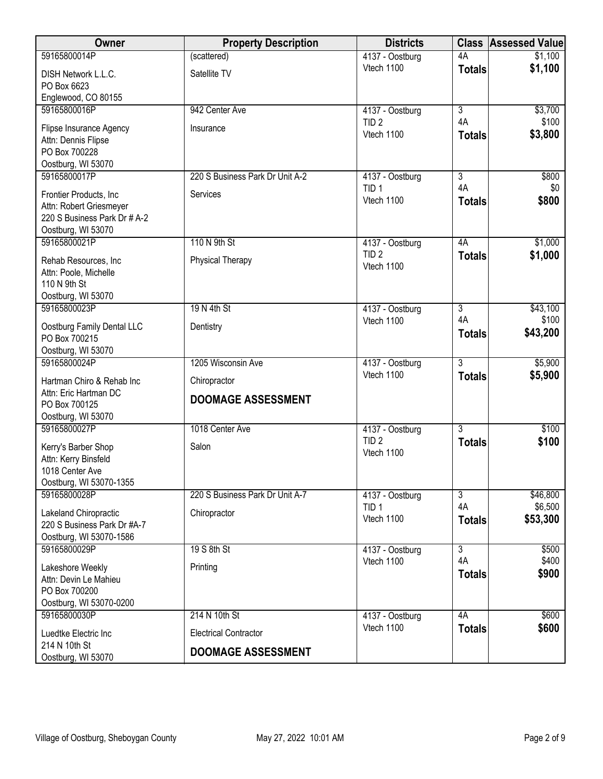| Owner                                                                                                    | <b>Property Description</b>     | <b>Districts</b>                                  |                                       | <b>Class Assessed Value</b> |
|----------------------------------------------------------------------------------------------------------|---------------------------------|---------------------------------------------------|---------------------------------------|-----------------------------|
| 59165800014P                                                                                             | (scattered)                     | 4137 - Oostburg                                   | 4A                                    | \$1,100                     |
| DISH Network L.L.C.<br>PO Box 6623                                                                       | Satellite TV                    | Vtech 1100                                        | <b>Totals</b>                         | \$1,100                     |
| Englewood, CO 80155<br>59165800016P                                                                      |                                 |                                                   |                                       |                             |
| Flipse Insurance Agency<br>Attn: Dennis Flipse                                                           | 942 Center Ave<br>Insurance     | 4137 - Oostburg<br>TID <sub>2</sub><br>Vtech 1100 | $\overline{3}$<br>4A<br><b>Totals</b> | \$3,700<br>\$100<br>\$3,800 |
| PO Box 700228<br>Oostburg, WI 53070                                                                      |                                 |                                                   |                                       |                             |
| 59165800017P                                                                                             | 220 S Business Park Dr Unit A-2 | 4137 - Oostburg                                   | $\overline{3}$                        | \$800                       |
| Frontier Products, Inc.<br>Attn: Robert Griesmeyer<br>220 S Business Park Dr # A-2<br>Oostburg, WI 53070 | Services                        | TID <sub>1</sub><br>Vtech 1100                    | 4A<br><b>Totals</b>                   | \$0<br>\$800                |
| 59165800021P                                                                                             | 110 N 9th St                    | 4137 - Oostburg                                   | 4A                                    | \$1,000                     |
| Rehab Resources, Inc<br>Attn: Poole, Michelle<br>110 N 9th St<br>Oostburg, WI 53070                      | Physical Therapy                | TID <sub>2</sub><br>Vtech 1100                    | <b>Totals</b>                         | \$1,000                     |
| 59165800023P                                                                                             | 19 N 4th St                     | 4137 - Oostburg                                   | $\overline{3}$                        | \$43,100                    |
| Oostburg Family Dental LLC<br>PO Box 700215<br>Oostburg, WI 53070                                        | Dentistry                       | Vtech 1100                                        | 4A<br><b>Totals</b>                   | \$100<br>\$43,200           |
| 59165800024P                                                                                             | 1205 Wisconsin Ave              | 4137 - Oostburg                                   | $\overline{3}$                        | \$5,900                     |
| Hartman Chiro & Rehab Inc                                                                                | Chiropractor                    | Vtech 1100                                        | <b>Totals</b>                         | \$5,900                     |
| Attn: Eric Hartman DC<br>PO Box 700125<br>Oostburg, WI 53070                                             | <b>DOOMAGE ASSESSMENT</b>       |                                                   |                                       |                             |
| 59165800027P                                                                                             | 1018 Center Ave                 | 4137 - Oostburg                                   | $\overline{3}$                        | \$100                       |
| Kerry's Barber Shop<br>Attn: Kerry Binsfeld<br>1018 Center Ave<br>Oostburg, WI 53070-1355                | Salon                           | TID <sub>2</sub><br>Vtech 1100                    | <b>Totals</b>                         | \$100                       |
| 59165800028P                                                                                             | 220 S Business Park Dr Unit A-7 | 4137 - Oostburg                                   | $\overline{3}$                        | \$46,800                    |
| Lakeland Chiropractic<br>220 S Business Park Dr #A-7<br>Oostburg, WI 53070-1586                          | Chiropractor                    | TID <sub>1</sub><br>Vtech 1100                    | 4A<br><b>Totals</b>                   | \$6,500<br>\$53,300         |
| 59165800029P                                                                                             | 19 S 8th St                     | 4137 - Oostburg                                   | $\overline{3}$                        | \$500                       |
| Lakeshore Weekly<br>Attn: Devin Le Mahieu<br>PO Box 700200<br>Oostburg, WI 53070-0200                    | Printing                        | Vtech 1100                                        | 4A<br><b>Totals</b>                   | \$400<br>\$900              |
| 59165800030P                                                                                             | 214 N 10th St                   | 4137 - Oostburg                                   | 4A                                    | \$600                       |
| Luedtke Electric Inc                                                                                     | <b>Electrical Contractor</b>    | Vtech 1100                                        | <b>Totals</b>                         | \$600                       |
| 214 N 10th St<br>Oostburg, WI 53070                                                                      | <b>DOOMAGE ASSESSMENT</b>       |                                                   |                                       |                             |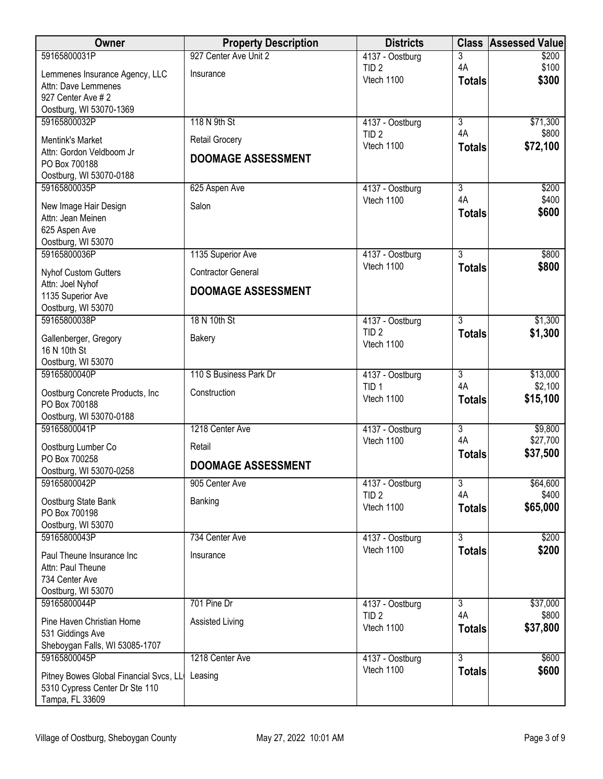| Owner                                              | <b>Property Description</b> | <b>Districts</b>                    |                           | <b>Class Assessed Value</b> |
|----------------------------------------------------|-----------------------------|-------------------------------------|---------------------------|-----------------------------|
| 59165800031P                                       | 927 Center Ave Unit 2       | 4137 - Oostburg                     | 3                         | \$200                       |
| Lemmenes Insurance Agency, LLC                     | Insurance                   | TID <sub>2</sub><br>Vtech 1100      | 4A<br><b>Totals</b>       | \$100<br>\$300              |
| Attn: Dave Lemmenes<br>927 Center Ave #2           |                             |                                     |                           |                             |
| Oostburg, WI 53070-1369                            |                             |                                     |                           |                             |
| 59165800032P                                       | 118 N 9th St                | 4137 - Oostburg                     | $\overline{3}$            | \$71,300                    |
| <b>Mentink's Market</b>                            | <b>Retail Grocery</b>       | TID <sub>2</sub><br>Vtech 1100      | 4A<br><b>Totals</b>       | \$800<br>\$72,100           |
| Attn: Gordon Veldboom Jr<br>PO Box 700188          | <b>DOOMAGE ASSESSMENT</b>   |                                     |                           |                             |
| Oostburg, WI 53070-0188                            |                             |                                     |                           |                             |
| 59165800035P                                       | 625 Aspen Ave               | 4137 - Oostburg                     | 3                         | \$200                       |
| New Image Hair Design                              | Salon                       | Vtech 1100                          | 4A<br><b>Totals</b>       | \$400<br>\$600              |
| Attn: Jean Meinen                                  |                             |                                     |                           |                             |
| 625 Aspen Ave<br>Oostburg, WI 53070                |                             |                                     |                           |                             |
| 59165800036P                                       | 1135 Superior Ave           | 4137 - Oostburg                     | $\overline{3}$            | \$800                       |
| <b>Nyhof Custom Gutters</b>                        | <b>Contractor General</b>   | Vtech 1100                          | <b>Totals</b>             | \$800                       |
| Attn: Joel Nyhof<br>1135 Superior Ave              | <b>DOOMAGE ASSESSMENT</b>   |                                     |                           |                             |
| Oostburg, WI 53070                                 |                             |                                     |                           |                             |
| 59165800038P                                       | 18 N 10th St                | 4137 - Oostburg                     | $\overline{3}$            | \$1,300                     |
| Gallenberger, Gregory                              | <b>Bakery</b>               | TID <sub>2</sub><br>Vtech 1100      | <b>Totals</b>             | \$1,300                     |
| 16 N 10th St<br>Oostburg, WI 53070                 |                             |                                     |                           |                             |
| 59165800040P                                       | 110 S Business Park Dr      | 4137 - Oostburg                     | $\overline{3}$            | \$13,000                    |
| Oostburg Concrete Products, Inc                    | Construction                | TID <sub>1</sub>                    | 4A                        | \$2,100                     |
| PO Box 700188                                      |                             | Vtech 1100                          | <b>Totals</b>             | \$15,100                    |
| Oostburg, WI 53070-0188<br>59165800041P            | 1218 Center Ave             | 4137 - Oostburg                     | $\overline{\overline{3}}$ | \$9,800                     |
| Oostburg Lumber Co                                 | Retail                      | Vtech 1100                          | 4A                        | \$27,700                    |
| PO Box 700258                                      |                             |                                     | <b>Totals</b>             | \$37,500                    |
| Oostburg, WI 53070-0258                            | <b>DOOMAGE ASSESSMENT</b>   |                                     |                           |                             |
| 59165800042P                                       | 905 Center Ave              | 4137 - Oostburg<br>TID <sub>2</sub> | 3<br>4A                   | \$64,600<br>\$400           |
| Oostburg State Bank<br>PO Box 700198               | Banking                     | Vtech 1100                          | <b>Totals</b>             | \$65,000                    |
| Oostburg, WI 53070                                 |                             |                                     |                           |                             |
| 59165800043P                                       | 734 Center Ave              | 4137 - Oostburg                     | $\overline{3}$            | \$200                       |
| Paul Theune Insurance Inc                          | Insurance                   | Vtech 1100                          | <b>Totals</b>             | \$200                       |
| Attn: Paul Theune<br>734 Center Ave                |                             |                                     |                           |                             |
| Oostburg, WI 53070                                 |                             |                                     |                           |                             |
| 59165800044P                                       | 701 Pine Dr                 | 4137 - Oostburg                     | $\overline{3}$            | \$37,000                    |
| Pine Haven Christian Home                          | Assisted Living             | TID <sub>2</sub><br>Vtech 1100      | 4A<br><b>Totals</b>       | \$800<br>\$37,800           |
| 531 Giddings Ave<br>Sheboygan Falls, WI 53085-1707 |                             |                                     |                           |                             |
| 59165800045P                                       | 1218 Center Ave             | 4137 - Oostburg                     | $\overline{3}$            | \$600                       |
| Pitney Bowes Global Financial Svcs, LL             | Leasing                     | Vtech 1100                          | <b>Totals</b>             | \$600                       |
| 5310 Cypress Center Dr Ste 110                     |                             |                                     |                           |                             |
| Tampa, FL 33609                                    |                             |                                     |                           |                             |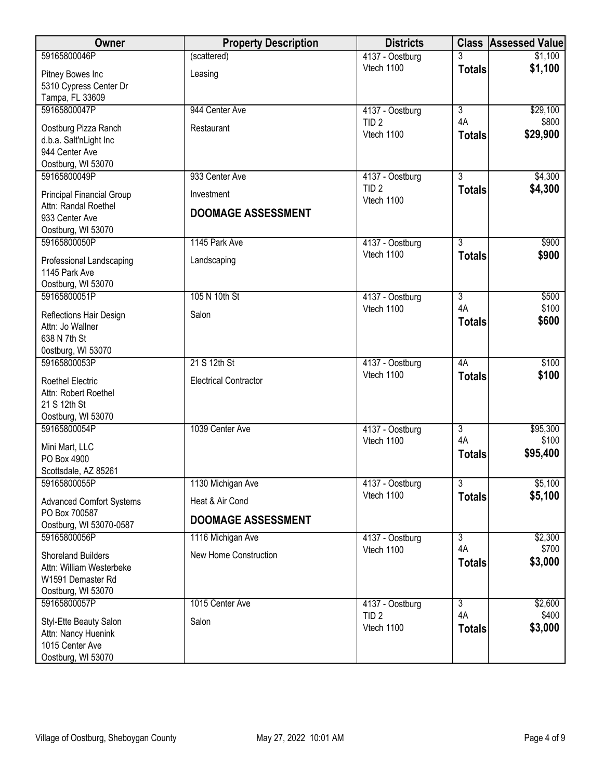| Owner                                                                                            | <b>Property Description</b>  | <b>Districts</b>               |                      | <b>Class Assessed Value</b> |
|--------------------------------------------------------------------------------------------------|------------------------------|--------------------------------|----------------------|-----------------------------|
| 59165800046P                                                                                     | (scattered)                  | 4137 - Oostburg                | 3                    | \$1,100                     |
| Pitney Bowes Inc<br>5310 Cypress Center Dr<br>Tampa, FL 33609                                    | Leasing                      | Vtech 1100                     | <b>Totals</b>        | \$1,100                     |
| 59165800047P                                                                                     | 944 Center Ave               | 4137 - Oostburg                | $\overline{3}$       | \$29,100                    |
| Oostburg Pizza Ranch<br>d.b.a. Salt'nLight Inc<br>944 Center Ave<br>Oostburg, WI 53070           | Restaurant                   | TID <sub>2</sub><br>Vtech 1100 | 4A<br><b>Totals</b>  | \$800<br>\$29,900           |
| 59165800049P                                                                                     | 933 Center Ave               | 4137 - Oostburg                | $\overline{3}$       | \$4,300                     |
| Principal Financial Group                                                                        | Investment                   | TID <sub>2</sub><br>Vtech 1100 | <b>Totals</b>        | \$4,300                     |
| Attn: Randal Roethel<br>933 Center Ave<br>Oostburg, WI 53070                                     | <b>DOOMAGE ASSESSMENT</b>    |                                |                      |                             |
| 59165800050P                                                                                     | 1145 Park Ave                | 4137 - Oostburg                | 3                    | \$900                       |
| Professional Landscaping<br>1145 Park Ave<br>Oostburg, WI 53070                                  | Landscaping                  | Vtech 1100                     | <b>Totals</b>        | \$900                       |
| 59165800051P                                                                                     | 105 N 10th St                | 4137 - Oostburg                | $\overline{3}$       | \$500                       |
| Reflections Hair Design<br>Attn: Jo Wallner<br>638 N 7th St<br>0ostburg, WI 53070                | Salon                        | Vtech 1100                     | 4A<br><b>Totals</b>  | \$100<br>\$600              |
| 59165800053P                                                                                     | 21 S 12th St                 | 4137 - Oostburg                | 4A                   | \$100                       |
| <b>Roethel Electric</b><br>Attn: Robert Roethel<br>21 S 12th St<br>Oostburg, WI 53070            | <b>Electrical Contractor</b> | Vtech 1100                     | <b>Totals</b>        | \$100                       |
| 59165800054P                                                                                     | 1039 Center Ave              | 4137 - Oostburg                | $\overline{3}$<br>4A | \$95,300                    |
| Mini Mart, LLC<br>PO Box 4900<br>Scottsdale, AZ 85261                                            |                              | Vtech 1100                     | <b>Totals</b>        | \$100<br>\$95,400           |
| 59165800055P                                                                                     | 1130 Michigan Ave            | 4137 - Oostburg                | $\overline{3}$       | \$5,100                     |
| <b>Advanced Comfort Systems</b>                                                                  | Heat & Air Cond              | Vtech 1100                     | <b>Totals</b>        | \$5,100                     |
| PO Box 700587<br>Oostburg, WI 53070-0587                                                         | <b>DOOMAGE ASSESSMENT</b>    |                                |                      |                             |
| 59165800056P                                                                                     | 1116 Michigan Ave            | 4137 - Oostburg                | $\overline{3}$       | \$2,300                     |
| <b>Shoreland Builders</b><br>Attn: William Westerbeke<br>W1591 Demaster Rd<br>Oostburg, WI 53070 | New Home Construction        | Vtech 1100                     | 4A<br><b>Totals</b>  | \$700<br>\$3,000            |
| 59165800057P                                                                                     | 1015 Center Ave              | 4137 - Oostburg                | $\overline{3}$<br>4A | \$2,600                     |
| Styl-Ette Beauty Salon<br>Attn: Nancy Huenink<br>1015 Center Ave<br>Oostburg, WI 53070           | Salon                        | TID <sub>2</sub><br>Vtech 1100 | <b>Totals</b>        | \$400<br>\$3,000            |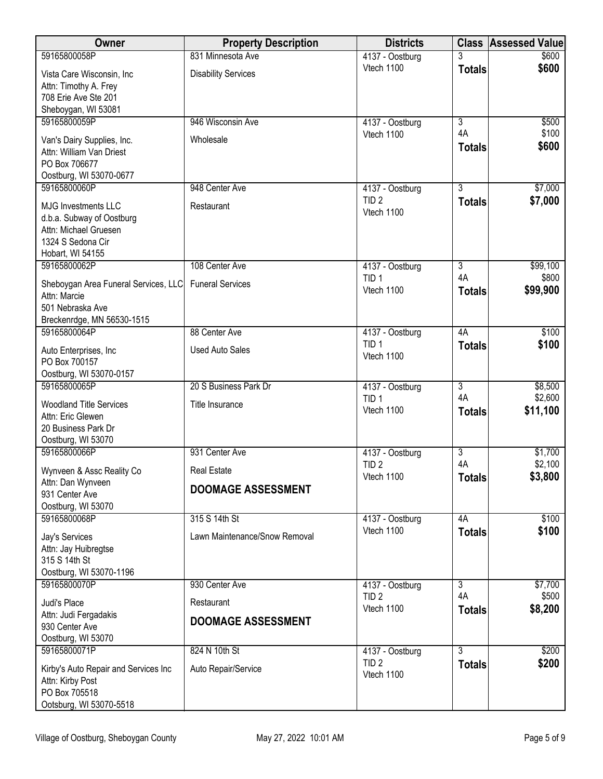| Owner                                                                                                                     | <b>Property Description</b>              | <b>Districts</b>                                  |                     | <b>Class Assessed Value</b>    |
|---------------------------------------------------------------------------------------------------------------------------|------------------------------------------|---------------------------------------------------|---------------------|--------------------------------|
| 59165800058P                                                                                                              | 831 Minnesota Ave                        | 4137 - Oostburg                                   |                     | \$600                          |
| Vista Care Wisconsin, Inc<br>Attn: Timothy A. Frey                                                                        | <b>Disability Services</b>               | Vtech 1100                                        | <b>Totals</b>       | \$600                          |
| 708 Erie Ave Ste 201<br>Sheboygan, WI 53081                                                                               |                                          |                                                   |                     |                                |
| 59165800059P                                                                                                              | 946 Wisconsin Ave                        | 4137 - Oostburg                                   | $\overline{3}$      | \$500                          |
| Van's Dairy Supplies, Inc.<br>Attn: William Van Driest<br>PO Box 706677<br>Oostburg, WI 53070-0677                        | Wholesale                                | Vtech 1100                                        | 4A<br><b>Totals</b> | \$100<br>\$600                 |
| 59165800060P                                                                                                              | 948 Center Ave                           | 4137 - Oostburg                                   | $\overline{3}$      | \$7,000                        |
| <b>MJG Investments LLC</b><br>d.b.a. Subway of Oostburg<br>Attn: Michael Gruesen<br>1324 S Sedona Cir<br>Hobart, WI 54155 | Restaurant                               | TID <sub>2</sub><br>Vtech 1100                    | <b>Totals</b>       | \$7,000                        |
| 59165800062P                                                                                                              | 108 Center Ave                           | 4137 - Oostburg                                   | $\overline{3}$      | \$99,100                       |
| Sheboygan Area Funeral Services, LLC<br>Attn: Marcie<br>501 Nebraska Ave<br>Breckenrdge, MN 56530-1515                    | <b>Funeral Services</b>                  | TID <sub>1</sub><br>Vtech 1100                    | 4A<br><b>Totals</b> | \$800<br>\$99,900              |
| 59165800064P                                                                                                              | 88 Center Ave                            | 4137 - Oostburg                                   | 4A                  | \$100                          |
| Auto Enterprises, Inc<br>PO Box 700157                                                                                    | <b>Used Auto Sales</b>                   | TID <sub>1</sub><br>Vtech 1100                    | <b>Totals</b>       | \$100                          |
| Oostburg, WI 53070-0157                                                                                                   |                                          |                                                   | $\overline{3}$      |                                |
| 59165800065P<br><b>Woodland Title Services</b><br>Attn: Eric Glewen                                                       | 20 S Business Park Dr<br>Title Insurance | 4137 - Oostburg<br>TID <sub>1</sub><br>Vtech 1100 | 4A<br><b>Totals</b> | \$8,500<br>\$2,600<br>\$11,100 |
| 20 Business Park Dr<br>Oostburg, WI 53070                                                                                 |                                          |                                                   |                     |                                |
| 59165800066P                                                                                                              | 931 Center Ave                           | 4137 - Oostburg                                   | $\overline{3}$      | \$1,700                        |
| Wynveen & Assc Reality Co                                                                                                 | <b>Real Estate</b>                       | TID <sub>2</sub><br>Vtech 1100                    | 4A<br><b>Totals</b> | \$2,100<br>\$3,800             |
| Attn: Dan Wynveen<br>931 Center Ave<br>Oostburg, WI 53070                                                                 | <b>DOOMAGE ASSESSMENT</b>                |                                                   |                     |                                |
| 59165800068P                                                                                                              | 315 S 14th St                            | 4137 - Oostburg                                   | 4A                  | \$100                          |
| Jay's Services<br>Attn: Jay Huibregtse<br>315 S 14th St<br>Oostburg, WI 53070-1196                                        | Lawn Maintenance/Snow Removal            | Vtech 1100                                        | <b>Totals</b>       | \$100                          |
| 59165800070P                                                                                                              | 930 Center Ave                           | 4137 - Oostburg                                   | 3                   | \$7,700                        |
| Judi's Place                                                                                                              | Restaurant                               | TID <sub>2</sub><br>Vtech 1100                    | 4A<br><b>Totals</b> | \$500<br>\$8,200               |
| Attn: Judi Fergadakis<br>930 Center Ave<br>Oostburg, WI 53070                                                             | <b>DOOMAGE ASSESSMENT</b>                |                                                   |                     |                                |
| 59165800071P                                                                                                              | 824 N 10th St                            | 4137 - Oostburg                                   | $\overline{3}$      | \$200                          |
| Kirby's Auto Repair and Services Inc<br>Attn: Kirby Post<br>PO Box 705518<br>Ootsburg, WI 53070-5518                      | Auto Repair/Service                      | TID <sub>2</sub><br>Vtech 1100                    | <b>Totals</b>       | \$200                          |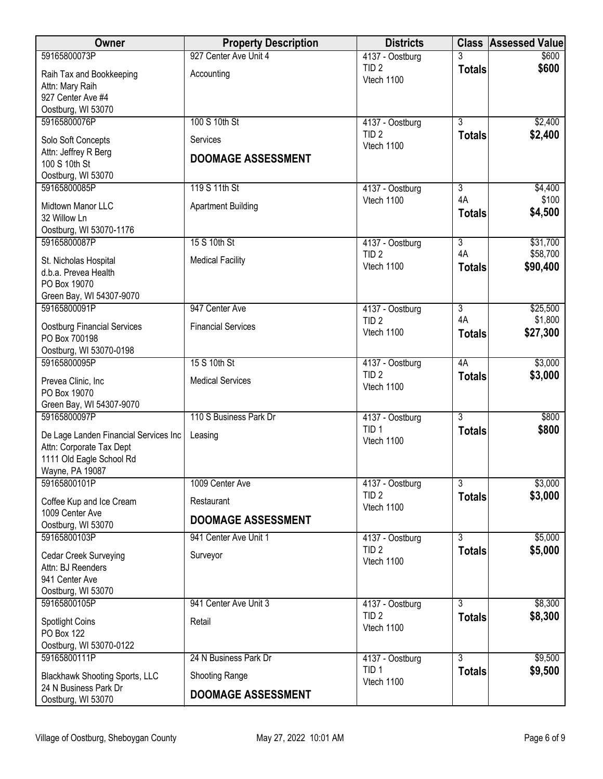| Owner                                                             | <b>Property Description</b> | <b>Districts</b>                    |                | <b>Class Assessed Value</b> |
|-------------------------------------------------------------------|-----------------------------|-------------------------------------|----------------|-----------------------------|
| 59165800073P                                                      | 927 Center Ave Unit 4       | 4137 - Oostburg                     |                | \$600                       |
| Raih Tax and Bookkeeping                                          | Accounting                  | TID <sub>2</sub><br>Vtech 1100      | <b>Totals</b>  | \$600                       |
| Attn: Mary Raih                                                   |                             |                                     |                |                             |
| 927 Center Ave #4<br>Oostburg, WI 53070                           |                             |                                     |                |                             |
| 59165800076P                                                      | 100 S 10th St               | 4137 - Oostburg                     | $\overline{3}$ | \$2,400                     |
| Solo Soft Concepts                                                | Services                    | TID <sub>2</sub>                    | <b>Totals</b>  | \$2,400                     |
| Attn: Jeffrey R Berg                                              |                             | Vtech 1100                          |                |                             |
| 100 S 10th St                                                     | <b>DOOMAGE ASSESSMENT</b>   |                                     |                |                             |
| Oostburg, WI 53070<br>59165800085P                                | 119 S 11th St               | 4137 - Oostburg                     | $\overline{3}$ | \$4,400                     |
|                                                                   |                             | Vtech 1100                          | 4A             | \$100                       |
| Midtown Manor LLC<br>32 Willow Ln                                 | <b>Apartment Building</b>   |                                     | <b>Totals</b>  | \$4,500                     |
| Oostburg, WI 53070-1176                                           |                             |                                     |                |                             |
| 59165800087P                                                      | 15 S 10th St                | 4137 - Oostburg                     | $\overline{3}$ | \$31,700                    |
| St. Nicholas Hospital                                             | <b>Medical Facility</b>     | TID <sub>2</sub>                    | 4A             | \$58,700                    |
| d.b.a. Prevea Health                                              |                             | Vtech 1100                          | <b>Totals</b>  | \$90,400                    |
| PO Box 19070                                                      |                             |                                     |                |                             |
| Green Bay, WI 54307-9070<br>59165800091P                          | 947 Center Ave              | 4137 - Oostburg                     | $\overline{3}$ | \$25,500                    |
|                                                                   |                             | TID <sub>2</sub>                    | 4A             | \$1,800                     |
| <b>Oostburg Financial Services</b><br>PO Box 700198               | <b>Financial Services</b>   | Vtech 1100                          | <b>Totals</b>  | \$27,300                    |
| Oostburg, WI 53070-0198                                           |                             |                                     |                |                             |
| 59165800095P                                                      | 15 S 10th St                | 4137 - Oostburg                     | 4A             | \$3,000                     |
| Prevea Clinic, Inc                                                | <b>Medical Services</b>     | TID <sub>2</sub>                    | <b>Totals</b>  | \$3,000                     |
| PO Box 19070                                                      |                             | Vtech 1100                          |                |                             |
| Green Bay, WI 54307-9070<br>59165800097P                          | 110 S Business Park Dr      |                                     | $\overline{3}$ | \$800                       |
|                                                                   |                             | 4137 - Oostburg<br>TID <sub>1</sub> | <b>Totals</b>  | \$800                       |
| De Lage Landen Financial Services Inc<br>Attn: Corporate Tax Dept | Leasing                     | Vtech 1100                          |                |                             |
| 1111 Old Eagle School Rd                                          |                             |                                     |                |                             |
| Wayne, PA 19087                                                   |                             |                                     |                |                             |
| 59165800101P                                                      | 1009 Center Ave             | 4137 - Oostburg                     | $\overline{3}$ | \$3,000                     |
| Coffee Kup and Ice Cream                                          | Restaurant                  | TID <sub>2</sub><br>Vtech 1100      | <b>Totals</b>  | \$3,000                     |
| 1009 Center Ave<br>Oostburg, WI 53070                             | <b>DOOMAGE ASSESSMENT</b>   |                                     |                |                             |
| 59165800103P                                                      | 941 Center Ave Unit 1       | 4137 - Oostburg                     | $\overline{3}$ | \$5,000                     |
| <b>Cedar Creek Surveying</b>                                      | Surveyor                    | TID <sub>2</sub>                    | <b>Totals</b>  | \$5,000                     |
| Attn: BJ Reenders                                                 |                             | Vtech 1100                          |                |                             |
| 941 Center Ave                                                    |                             |                                     |                |                             |
| Oostburg, WI 53070<br>59165800105P                                | 941 Center Ave Unit 3       |                                     | $\overline{3}$ | \$8,300                     |
|                                                                   |                             | 4137 - Oostburg<br>TID <sub>2</sub> | <b>Totals</b>  | \$8,300                     |
| Spotlight Coins<br>PO Box 122                                     | Retail                      | Vtech 1100                          |                |                             |
| Oostburg, WI 53070-0122                                           |                             |                                     |                |                             |
| 59165800111P                                                      | 24 N Business Park Dr       | 4137 - Oostburg                     | $\overline{3}$ | \$9,500                     |
| <b>Blackhawk Shooting Sports, LLC</b>                             | Shooting Range              | TID <sub>1</sub>                    | <b>Totals</b>  | \$9,500                     |
| 24 N Business Park Dr                                             |                             | Vtech 1100                          |                |                             |
| Oostburg, WI 53070                                                | <b>DOOMAGE ASSESSMENT</b>   |                                     |                |                             |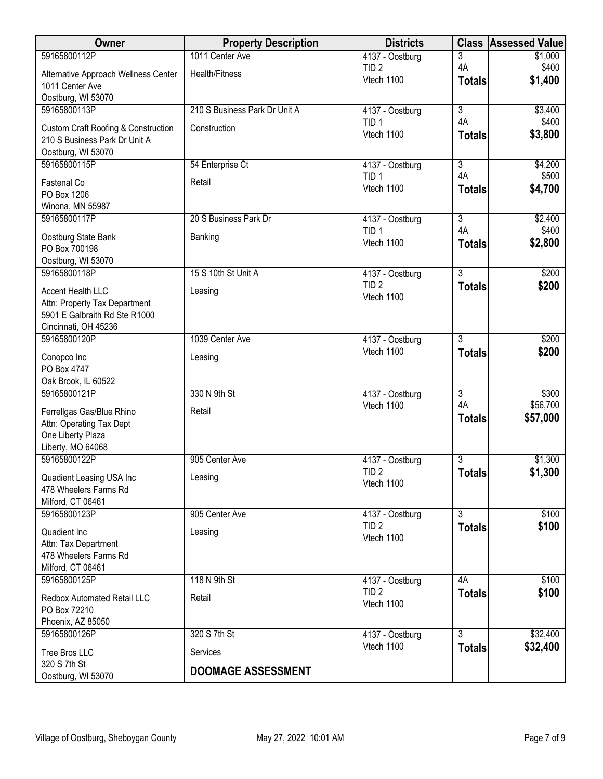| Owner                                                                           | <b>Property Description</b>   | <b>Districts</b>               | <b>Class</b>              | <b>Assessed Value</b> |
|---------------------------------------------------------------------------------|-------------------------------|--------------------------------|---------------------------|-----------------------|
| 59165800112P                                                                    | 1011 Center Ave               | 4137 - Oostburg                | 3                         | \$1,000               |
| Alternative Approach Wellness Center<br>1011 Center Ave                         | Health/Fitness                | TID <sub>2</sub><br>Vtech 1100 | 4A<br><b>Totals</b>       | \$400<br>\$1,400      |
| Oostburg, WI 53070                                                              |                               |                                |                           |                       |
| 59165800113P                                                                    | 210 S Business Park Dr Unit A | 4137 - Oostburg                | $\overline{\overline{3}}$ | \$3,400               |
| <b>Custom Craft Roofing &amp; Construction</b><br>210 S Business Park Dr Unit A | Construction                  | TID <sub>1</sub><br>Vtech 1100 | 4A<br><b>Totals</b>       | \$400<br>\$3,800      |
| Oostburg, WI 53070                                                              |                               |                                |                           |                       |
| 59165800115P                                                                    | 54 Enterprise Ct              | 4137 - Oostburg                | $\overline{3}$<br>4A      | \$4,200               |
| Fastenal Co<br>PO Box 1206                                                      | Retail                        | TID <sub>1</sub><br>Vtech 1100 | <b>Totals</b>             | \$500<br>\$4,700      |
| Winona, MN 55987                                                                |                               |                                |                           |                       |
| 59165800117P                                                                    | 20 S Business Park Dr         | 4137 - Oostburg                | $\overline{3}$            | \$2,400               |
| Oostburg State Bank<br>PO Box 700198                                            | Banking                       | TID <sub>1</sub><br>Vtech 1100 | 4A<br><b>Totals</b>       | \$400<br>\$2,800      |
| Oostburg, WI 53070                                                              |                               |                                |                           |                       |
| 59165800118P                                                                    | 15 S 10th St Unit A           | 4137 - Oostburg                | $\overline{3}$            | \$200                 |
| Accent Health LLC<br>Attn: Property Tax Department                              | Leasing                       | TID <sub>2</sub><br>Vtech 1100 | <b>Totals</b>             | \$200                 |
| 5901 E Galbraith Rd Ste R1000                                                   |                               |                                |                           |                       |
| Cincinnati, OH 45236                                                            |                               |                                |                           |                       |
| 59165800120P                                                                    | 1039 Center Ave               | 4137 - Oostburg                | $\overline{3}$            | \$200                 |
| Conopco Inc                                                                     | Leasing                       | Vtech 1100                     | <b>Totals</b>             | \$200                 |
| PO Box 4747                                                                     |                               |                                |                           |                       |
| Oak Brook, IL 60522                                                             |                               |                                |                           |                       |
| 59165800121P                                                                    | 330 N 9th St                  | 4137 - Oostburg                | $\overline{3}$            | \$300                 |
| Ferrellgas Gas/Blue Rhino                                                       | Retail                        | Vtech 1100                     | 4A                        | \$56,700              |
| Attn: Operating Tax Dept                                                        |                               |                                | <b>Totals</b>             | \$57,000              |
| One Liberty Plaza                                                               |                               |                                |                           |                       |
| Liberty, MO 64068                                                               |                               |                                |                           |                       |
| 59165800122P                                                                    | 905 Center Ave                | 4137 - Oostburg                | 3                         | \$1,300               |
| Quadient Leasing USA Inc                                                        | Leasing                       | TID <sub>2</sub>               | <b>Totals</b>             | \$1,300               |
| 478 Wheelers Farms Rd                                                           |                               | Vtech 1100                     |                           |                       |
| Milford, CT 06461                                                               |                               |                                |                           |                       |
| 59165800123P                                                                    | 905 Center Ave                | 4137 - Oostburg                | $\overline{3}$            | \$100                 |
| Quadient Inc                                                                    | Leasing                       | TID <sub>2</sub>               | <b>Totals</b>             | \$100                 |
| Attn: Tax Department                                                            |                               | Vtech 1100                     |                           |                       |
| 478 Wheelers Farms Rd                                                           |                               |                                |                           |                       |
| Milford, CT 06461                                                               |                               |                                |                           |                       |
| 59165800125P                                                                    | 118 N 9th St                  | 4137 - Oostburg                | 4A                        | \$100                 |
|                                                                                 | Retail                        | TID <sub>2</sub>               | <b>Totals</b>             | \$100                 |
| Redbox Automated Retail LLC<br>PO Box 72210                                     |                               | Vtech 1100                     |                           |                       |
| Phoenix, AZ 85050                                                               |                               |                                |                           |                       |
| 59165800126P                                                                    | 320 S 7th St                  | 4137 - Oostburg                | $\overline{3}$            | \$32,400              |
|                                                                                 |                               | Vtech 1100                     | <b>Totals</b>             | \$32,400              |
| Tree Bros LLC<br>320 S 7th St                                                   | Services                      |                                |                           |                       |
| Oostburg, WI 53070                                                              | <b>DOOMAGE ASSESSMENT</b>     |                                |                           |                       |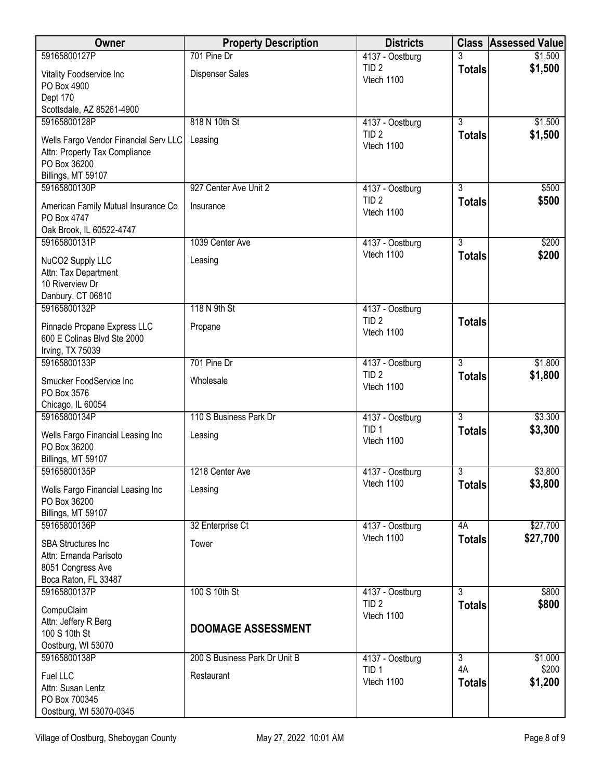| Owner                                                       | <b>Property Description</b>   | <b>Districts</b>                    |                     | <b>Class Assessed Value</b> |
|-------------------------------------------------------------|-------------------------------|-------------------------------------|---------------------|-----------------------------|
| 59165800127P                                                | 701 Pine Dr                   | 4137 - Oostburg                     |                     | \$1,500                     |
| Vitality Foodservice Inc<br>PO Box 4900                     | <b>Dispenser Sales</b>        | TID <sub>2</sub><br>Vtech 1100      | <b>Totals</b>       | \$1,500                     |
| Dept 170<br>Scottsdale, AZ 85261-4900                       |                               |                                     |                     |                             |
| 59165800128P                                                | 818 N 10th St                 | 4137 - Oostburg                     | $\overline{3}$      | \$1,500                     |
| Wells Fargo Vendor Financial Serv LLC                       | Leasing                       | TID <sub>2</sub>                    | <b>Totals</b>       | \$1,500                     |
| Attn: Property Tax Compliance                               |                               | Vtech 1100                          |                     |                             |
| PO Box 36200                                                |                               |                                     |                     |                             |
| Billings, MT 59107<br>59165800130P                          | 927 Center Ave Unit 2         | 4137 - Oostburg                     | 3                   | \$500                       |
|                                                             |                               | TID <sub>2</sub>                    | <b>Totals</b>       | \$500                       |
| American Family Mutual Insurance Co<br>PO Box 4747          | Insurance                     | Vtech 1100                          |                     |                             |
| Oak Brook, IL 60522-4747                                    |                               |                                     |                     |                             |
| 59165800131P                                                | 1039 Center Ave               | 4137 - Oostburg                     | $\overline{3}$      | \$200                       |
| NuCO2 Supply LLC                                            | Leasing                       | Vtech 1100                          | <b>Totals</b>       | \$200                       |
| Attn: Tax Department                                        |                               |                                     |                     |                             |
| 10 Riverview Dr                                             |                               |                                     |                     |                             |
| Danbury, CT 06810<br>59165800132P                           | 118 N 9th St                  | 4137 - Oostburg                     |                     |                             |
|                                                             |                               | TID <sub>2</sub>                    | <b>Totals</b>       |                             |
| Pinnacle Propane Express LLC<br>600 E Colinas Blvd Ste 2000 | Propane                       | Vtech 1100                          |                     |                             |
| Irving, TX 75039                                            |                               |                                     |                     |                             |
| 59165800133P                                                | 701 Pine Dr                   | 4137 - Oostburg                     | $\overline{3}$      | \$1,800                     |
| Smucker FoodService Inc                                     | Wholesale                     | TID <sub>2</sub>                    | <b>Totals</b>       | \$1,800                     |
| PO Box 3576                                                 |                               | Vtech 1100                          |                     |                             |
| Chicago, IL 60054<br>59165800134P                           | 110 S Business Park Dr        |                                     | $\overline{3}$      | \$3,300                     |
|                                                             |                               | 4137 - Oostburg<br>TID <sub>1</sub> | <b>Totals</b>       | \$3,300                     |
| Wells Fargo Financial Leasing Inc<br>PO Box 36200           | Leasing                       | Vtech 1100                          |                     |                             |
| Billings, MT 59107                                          |                               |                                     |                     |                             |
| 59165800135P                                                | 1218 Center Ave               | 4137 - Oostburg                     | 3                   | \$3,800                     |
| Wells Fargo Financial Leasing Inc                           | Leasing                       | Vtech 1100                          | <b>Totals</b>       | \$3,800                     |
| PO Box 36200                                                |                               |                                     |                     |                             |
| Billings, MT 59107                                          |                               |                                     |                     |                             |
| 59165800136P                                                | 32 Enterprise Ct              | 4137 - Oostburg<br>Vtech 1100       | 4A<br><b>Totals</b> | \$27,700<br>\$27,700        |
| <b>SBA Structures Inc</b><br>Attn: Ernanda Parisoto         | Tower                         |                                     |                     |                             |
| 8051 Congress Ave                                           |                               |                                     |                     |                             |
| Boca Raton, FL 33487                                        |                               |                                     |                     |                             |
| 59165800137P                                                | 100 S 10th St                 | 4137 - Oostburg                     | 3                   | \$800                       |
| CompuClaim                                                  |                               | TID <sub>2</sub><br>Vtech 1100      | <b>Totals</b>       | \$800                       |
| Attn: Jeffery R Berg                                        | <b>DOOMAGE ASSESSMENT</b>     |                                     |                     |                             |
| 100 S 10th St<br>Oostburg, WI 53070                         |                               |                                     |                     |                             |
| 59165800138P                                                | 200 S Business Park Dr Unit B | 4137 - Oostburg                     | $\overline{3}$      | \$1,000                     |
| Fuel LLC                                                    | Restaurant                    | TID <sub>1</sub>                    | 4A                  | \$200                       |
| Attn: Susan Lentz                                           |                               | Vtech 1100                          | <b>Totals</b>       | \$1,200                     |
| PO Box 700345                                               |                               |                                     |                     |                             |
| Oostburg, WI 53070-0345                                     |                               |                                     |                     |                             |